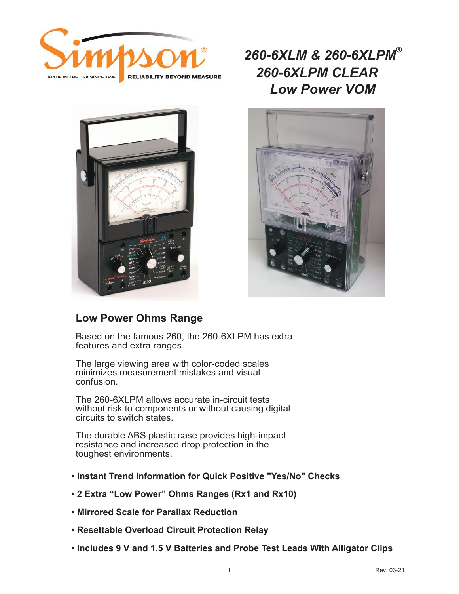

*260-6XLM & 260-6XLPM® Low Power VOM 260-6XLPM CLEAR*





### **Low Power Ohms Range**

Based on the famous 260, the 260-6XLPM has extra features and extra ranges.

The large viewing area with color-coded scales minimizes measurement mistakes and visual confusion.

The 260-6XLPM allows accurate in-circuit tests without risk to components or without causing digital circuits to switch states.

The durable ABS plastic case provides high-impact resistance and increased drop protection in the toughest environments.

- **Instant Trend Information for Quick Positive "Yes/No" Checks**
- **2 Extra "Low Power" Ohms Ranges (Rx1 and Rx10)**
- **Mirrored Scale for Parallax Reduction**
- **Resettable Overload Circuit Protection Relay**
- **Includes 9 V and 1.5 V Batteries and Probe Test Leads With Alligator Clips**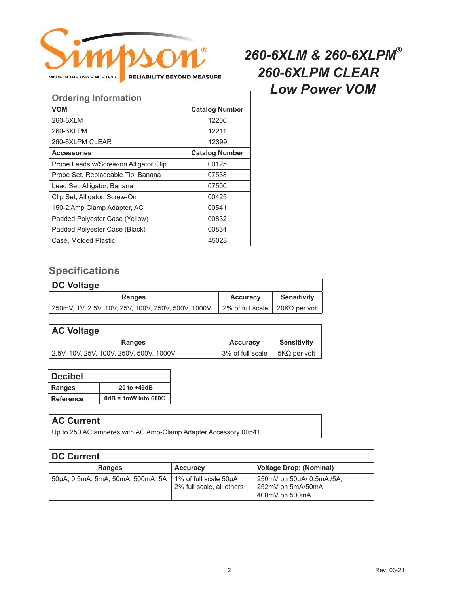

#### **Ordering Information VOM Catalog Number** 260-6XLM 12206 260-6XLPM 12211 Accessories **Catalog Number** Probe Leads w/Screw-on Alligator Clip | 00125 Probe Set, Replaceable Tip, Banana | 07538 Lead Set, Alligator, Banana **1988** (and Set, 207500 Clip Set, Alligator, Screw-On 100425 150-2 Amp Clamp Adapter, AC 150-2 Amp Clamp Adapter, AC Padded Polyester Case (Yellow) 100832 Padded Polyester Case (Black) 100834 Case, Molded Plastic **Access 120 and August** 45028 260-6XLPM CLEAR 12399

### **Specifications**

| DC Voltage                                         |                                  |                    |
|----------------------------------------------------|----------------------------------|--------------------|
| Ranges                                             | <b>Accuracy</b>                  | <b>Sensitivity</b> |
| 250mV, 1V, 2.5V, 10V, 25V, 100V, 250V, 500V, 1000V | 2% of full scale   20ΚΩ per volt |                    |

| <b>AC Voltage</b>                       |                  |                    |
|-----------------------------------------|------------------|--------------------|
| <b>Ranges</b>                           | <b>Accuracy</b>  | <b>Sensitivity</b> |
| 2.5V, 10V, 25V, 100V, 250V, 500V, 1000V | 3% of full scale | 5ΚΏ per volt       |

| <b>Decibel</b>   |                               |
|------------------|-------------------------------|
| <b>Ranges</b>    | $-20$ to $+49$ dB             |
| <b>Reference</b> | $0dB = 1mW$ into 600 $\Omega$ |

#### **AC Current**

Up to 250 AC amperes with AC Amp-Clamp Adapter Accessory 00541

| <b>DC Current</b>                 |                                                    |                                                                   |  |
|-----------------------------------|----------------------------------------------------|-------------------------------------------------------------------|--|
| <b>Ranges</b>                     | <b>Accuracy</b>                                    | <b>Voltage Drop: (Nominal)</b>                                    |  |
| 50uA, 0.5mA, 5mA, 50mA, 500mA, 5A | 1% of full scale 50µA<br>2% full scale, all others | 250mV on 50uA/ 0.5mA /5A;<br>252mV on 5mA/50mA;<br>400mV on 500mA |  |

# *260-6XLM & 260-6XLPM® Low Power VOM 260-6XLPM CLEAR*